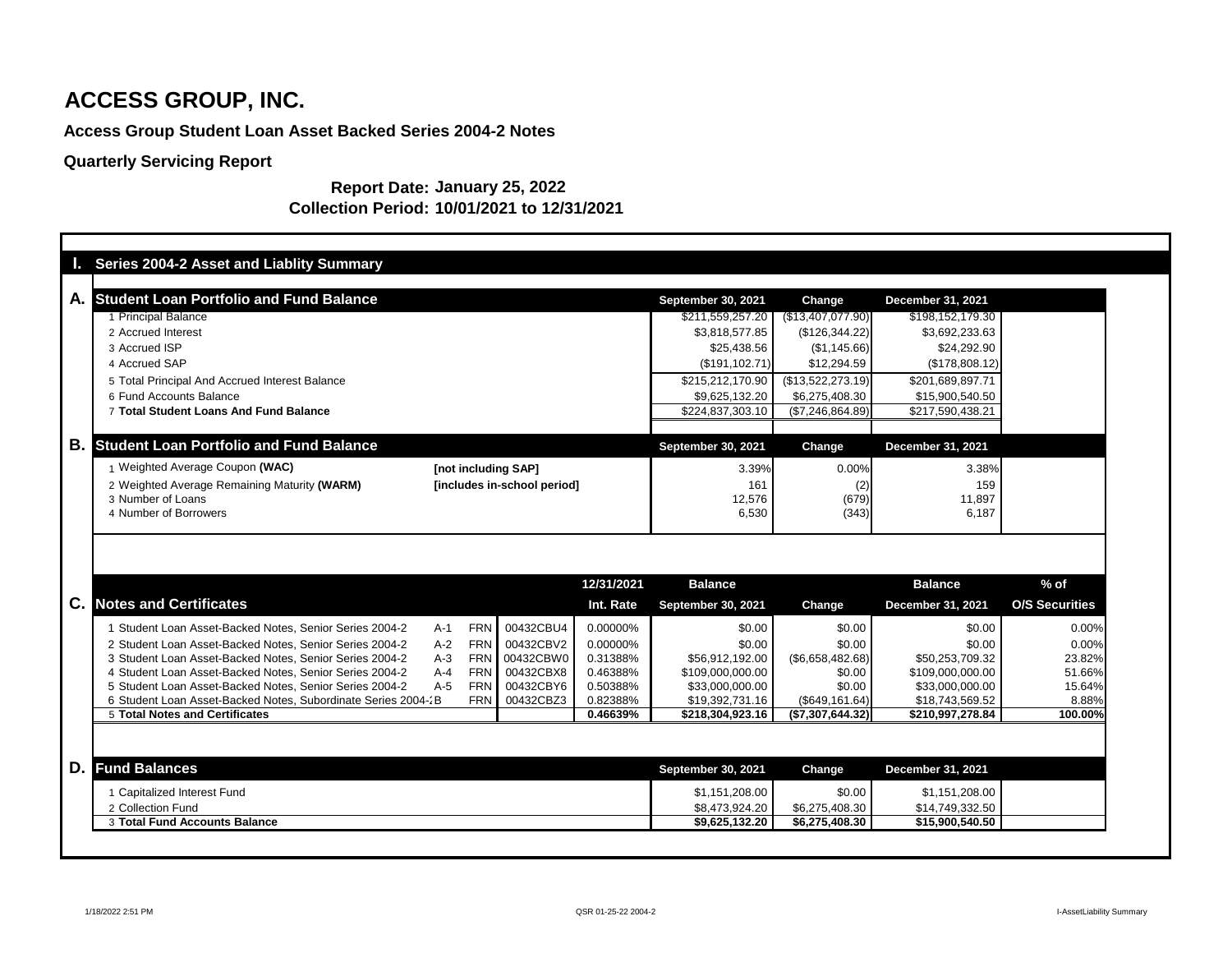## **Access Group Student Loan Asset Backed Series 2004-2 Notes**

## **Quarterly Servicing Report**

| <b>Series 2004-2 Asset and Liablity Summary</b>               |                     |                             |            |                                  |                          |                                   |                       |
|---------------------------------------------------------------|---------------------|-----------------------------|------------|----------------------------------|--------------------------|-----------------------------------|-----------------------|
|                                                               |                     |                             |            |                                  |                          |                                   |                       |
| <b>Student Loan Portfolio and Fund Balance</b><br>А.          |                     |                             |            | <b>September 30, 2021</b>        | <b>Change</b>            | <b>December 31, 2021</b>          |                       |
| 1 Principal Balance                                           |                     |                             |            | \$211,559,257.20                 | $(\$13,407,077.90)$      | \$198,152,179.30                  |                       |
| 2 Accrued Interest                                            |                     |                             |            | \$3,818,577.85                   | (\$126,344.22)           | \$3,692,233.63                    |                       |
| 3 Accrued ISP                                                 |                     |                             |            | \$25,438.56                      | (\$1,145.66)             | \$24,292.90                       |                       |
| 4 Accrued SAP                                                 |                     |                             |            | (\$191, 102.71)                  | \$12,294.59              | (\$178,808.12)                    |                       |
| 5 Total Principal And Accrued Interest Balance                |                     |                             |            | \$215,212,170.90                 | (\$13,522,273.19)        | \$201,689,897.71                  |                       |
| 6 Fund Accounts Balance                                       |                     |                             |            | \$9,625,132.20                   | \$6,275,408.30           | \$15,900,540.50                   |                       |
| 7 Total Student Loans And Fund Balance                        |                     |                             |            | \$224,837,303.10                 | (\$7,246,864.89)         | \$217,590,438.21                  |                       |
|                                                               |                     |                             |            |                                  |                          |                                   |                       |
| В.<br><b>Student Loan Portfolio and Fund Balance</b>          |                     |                             |            | <b>September 30, 2021</b>        | Change                   | <b>December 31, 2021</b>          |                       |
| 1 Weighted Average Coupon (WAC)                               | [not including SAP] |                             |            | 3.39%                            | 0.00%                    | 3.38%                             |                       |
| 2 Weighted Average Remaining Maturity (WARM)                  |                     | [includes in-school period] |            | 161                              | (2)                      | 159                               |                       |
|                                                               |                     |                             |            | 12,576                           | (679)                    | 11,897                            |                       |
| 3 Number of Loans                                             |                     |                             |            |                                  |                          |                                   |                       |
| 4 Number of Borrowers                                         |                     |                             |            | 6,530                            | (343)                    | 6,187                             |                       |
|                                                               |                     |                             | 12/31/2021 | <b>Balance</b>                   |                          | <b>Balance</b>                    | $%$ of                |
| <b>Notes and Certificates</b>                                 |                     |                             | Int. Rate  | <b>September 30, 2021</b>        | <b>Change</b>            | <b>December 31, 2021</b>          | <b>O/S Securities</b> |
| C.<br>Student Loan Asset-Backed Notes, Senior Series 2004-2   | <b>FRN</b><br>$A-1$ | 00432CBU4                   | 0.00000%   | \$0.00                           | \$0.00                   | \$0.00                            | 0.00%                 |
| 2 Student Loan Asset-Backed Notes, Senior Series 2004-2       | <b>FRN</b><br>$A-2$ | 00432CBV2                   | 0.00000%   | \$0.00                           | \$0.00                   | \$0.00                            | 0.00%                 |
| 3 Student Loan Asset-Backed Notes, Senior Series 2004-2       | $A-3$<br><b>FRN</b> | 00432CBW0                   | 0.31388%   | \$56,912,192.00                  | $(\$6,658,482.68)$       | \$50,253,709.32                   | 23.82%                |
| 4 Student Loan Asset-Backed Notes, Senior Series 2004-2       | $A-4$<br><b>FRN</b> | 00432CBX8                   | 0.46388%   | \$109,000,000.00                 | \$0.00                   | \$109,000,000.00                  | 51.66%                |
| 5 Student Loan Asset-Backed Notes, Senior Series 2004-2       | $A-5$<br><b>FRN</b> | 00432CBY6                   | 0.50388%   | \$33,000,000.00                  | \$0.00                   | \$33,000,000.00                   | 15.64%                |
| 6 Student Loan Asset-Backed Notes, Subordinate Series 2004-2B |                     | FRN 00432CBZ3               | 0.82388%   | \$19,392,731.16                  | (\$649,161.64)           | \$18,743,569.52                   | 8.88%                 |
| <b>5 Total Notes and Certificates</b>                         |                     |                             | 0.46639%   | \$218,304,923.16                 | (\$7,307,644.32)         | \$210,997,278.84                  | 100.00%               |
|                                                               |                     |                             |            |                                  |                          |                                   |                       |
| D.<br><b>Fund Balances</b>                                    |                     |                             |            | <b>September 30, 2021</b>        | Change                   | <b>December 31, 2021</b>          |                       |
|                                                               |                     |                             |            |                                  |                          |                                   |                       |
| 1 Capitalized Interest Fund<br>2 Collection Fund              |                     |                             |            | \$1,151,208.00<br>\$8,473,924.20 | \$0.00<br>\$6,275,408.30 | \$1,151,208.00<br>\$14,749,332.50 |                       |

#### **Report Date: January 25, 2022 Collection Period: 10/01/2021 to 12/31/2021**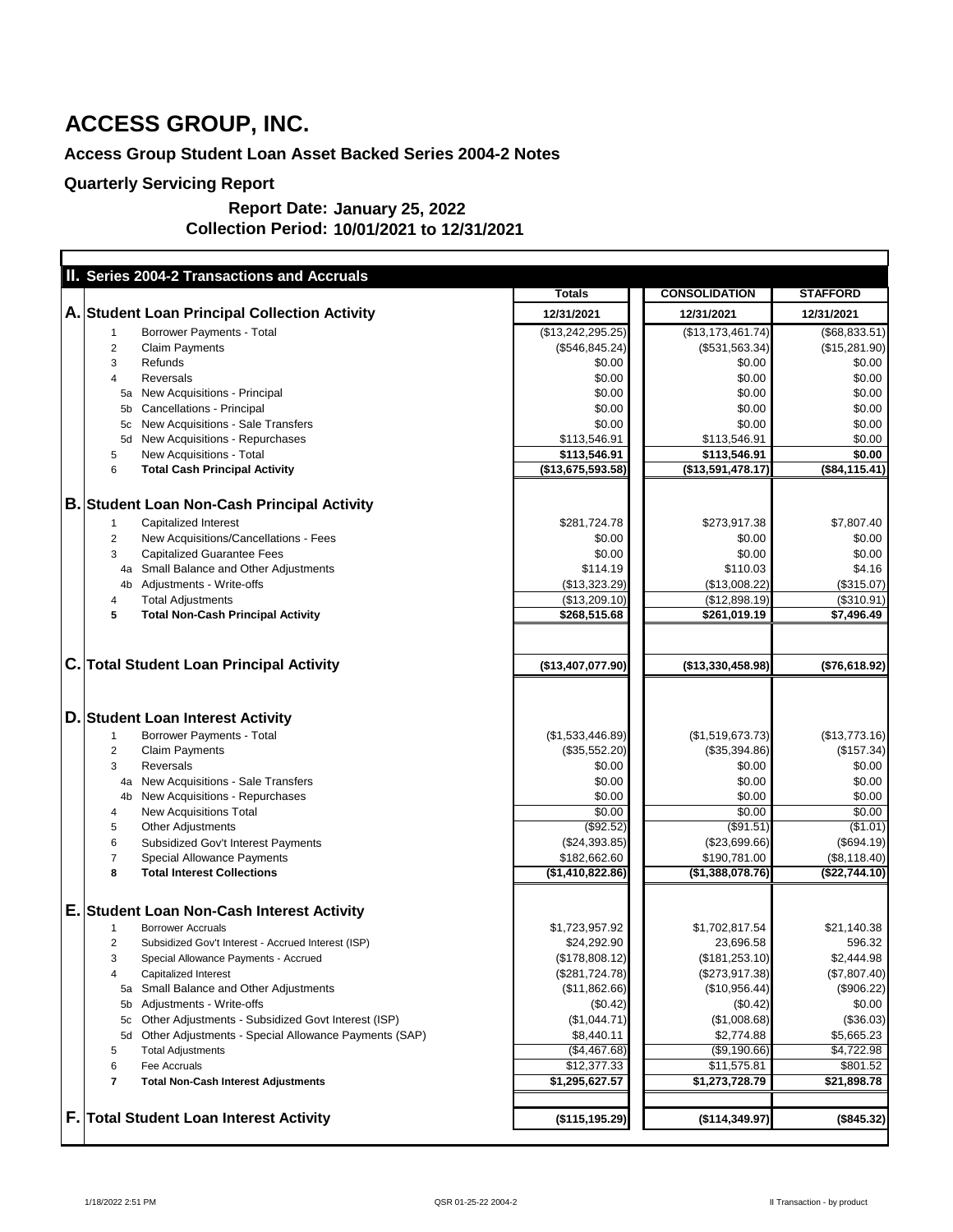## **Access Group Student Loan Asset Backed Series 2004-2 Notes**

#### **Report Date: January 25, 2022 Collection Period: 10/01/2021 to 12/31/2021**

| II. Series 2004-2 Transactions and Accruals                |                   |                      |                 |
|------------------------------------------------------------|-------------------|----------------------|-----------------|
|                                                            | <b>Totals</b>     | <b>CONSOLIDATION</b> | <b>STAFFORD</b> |
| A. Student Loan Principal Collection Activity              | 12/31/2021        | 12/31/2021           | 12/31/2021      |
| <b>Borrower Payments - Total</b>                           | (\$13,242,295.25) | (\$13,173,461.74)    | (\$68,833.51)   |
| <b>Claim Payments</b><br>2                                 | (\$546, 845.24)   | ( \$531, 563.34)     | (\$15,281.90)   |
| 3<br><b>Refunds</b>                                        | \$0.00            | \$0.00               | \$0.00          |
| <b>Reversals</b><br>4                                      | \$0.00            | \$0.00               | \$0.00          |
| New Acquisitions - Principal<br>5a                         | \$0.00            | \$0.00               | \$0.00          |
| Cancellations - Principal                                  | \$0.00            | \$0.00               | \$0.00          |
| New Acquisitions - Sale Transfers<br>5c                    | \$0.00            | \$0.00               | \$0.00          |
| New Acquisitions - Repurchases<br>5d                       | \$113,546.91      | \$113,546.91         | \$0.00          |
| New Acquisitions - Total<br>5                              | \$113,546.91      | \$113,546.91         | \$0.00          |
| <b>Total Cash Principal Activity</b><br>6                  | (\$13,675,593.58) | (\$13,591,478.17)    | (\$84,115.41)   |
| <b>B. Student Loan Non-Cash Principal Activity</b>         |                   |                      |                 |
| <b>Capitalized Interest</b><br>1                           | \$281,724.78      | \$273,917.38         | \$7,807.40      |
| New Acquisitions/Cancellations - Fees<br>$\overline{2}$    | \$0.00            | \$0.00               | \$0.00          |
| <b>Capitalized Guarantee Fees</b><br>3                     | \$0.00            | \$0.00               | \$0.00          |
| 4a Small Balance and Other Adjustments                     | \$114.19          | \$110.03             | \$4.16          |
| Adjustments - Write-offs<br>4b                             | (\$13,323.29)     | (\$13,008.22)        | (\$315.07)      |
| <b>Total Adjustments</b><br>4                              | (\$13,209.10)     | (\$12,898.19)        | (\$310.91)      |
| <b>Total Non-Cash Principal Activity</b><br>5              | \$268,515.68      | \$261,019.19         | \$7,496.49      |
|                                                            |                   |                      |                 |
| <b>C. Total Student Loan Principal Activity</b>            | (\$13,407,077.90) | (\$13,330,458.98)    | (\$76,618.92)   |
|                                                            |                   |                      |                 |
| D. Student Loan Interest Activity                          |                   |                      |                 |
| <b>Borrower Payments - Total</b><br>1                      | (\$1,533,446.89)  | (\$1,519,673.73)     | (\$13,773.16)   |
| <b>Claim Payments</b><br>2                                 | (\$35,552.20)     | $(\$35,394.86)$      | (\$157.34)      |
| <b>Reversals</b><br>3                                      | \$0.00            | \$0.00               | \$0.00          |
| New Acquisitions - Sale Transfers<br>4a                    | \$0.00            | \$0.00               | \$0.00          |
| New Acquisitions - Repurchases<br>4 <sub>b</sub>           | \$0.00            | \$0.00               | \$0.00          |
| <b>New Acquisitions Total</b><br>4                         | \$0.00            | \$0.00               | \$0.00          |
| <b>Other Adjustments</b><br>5                              | (\$92.52)         | (\$91.51)            | (\$1.01)        |
| 6<br><b>Subsidized Gov't Interest Payments</b>             | (\$24,393.85)     | (\$23,699.66)        | (\$694.19)      |
| <b>Special Allowance Payments</b><br>7                     | \$182,662.60      | \$190,781.00         | (\$8,118.40)    |
| <b>Total Interest Collections</b><br>8                     | (\$1,410,822.86)  | (\$1,388,078.76)     | (\$22,744.10)   |
| E. Student Loan Non-Cash Interest Activity                 |                   |                      |                 |
| <b>Borrower Accruals</b>                                   | \$1,723,957.92    | \$1,702,817.54       | \$21,140.38     |
| Subsidized Gov't Interest - Accrued Interest (ISP)<br>2    | \$24,292.90       | 23,696.58            | 596.32          |
| 3<br>Special Allowance Payments - Accrued                  | (\$178,808.12)    | (\$181,253.10)       | \$2,444.98      |
| <b>Capitalized Interest</b><br>4                           | (\$281,724.78)    | $(\$273,917.38)$     | (\$7,807.40)    |
| Small Balance and Other Adjustments<br>5a                  | (\$11,862.66)     | (\$10,956.44)        | (\$906.22)      |
| Adjustments - Write-offs<br>5b                             | (\$0.42)          | (\$0.42)             | \$0.00          |
| Other Adjustments - Subsidized Govt Interest (ISP)<br>5c   | (\$1,044.71)      | (\$1,008.68)         | (\$36.03)       |
| Other Adjustments - Special Allowance Payments (SAP)<br>5d | \$8,440.11        | \$2,774.88           | \$5,665.23      |
| <b>Total Adjustments</b><br>5                              | (\$4,467.68)      | ( \$9,190.66)        | \$4,722.98      |
| 6<br>Fee Accruals                                          | \$12,377.33       | \$11,575.81          | \$801.52        |
| 7<br><b>Total Non-Cash Interest Adjustments</b>            | \$1,295,627.57    | \$1,273,728.79       | \$21,898.78     |
|                                                            |                   |                      |                 |
| <b>F. Total Student Loan Interest Activity</b>             | (\$115, 195.29)   | (\$114,349.97)       | (\$845.32)      |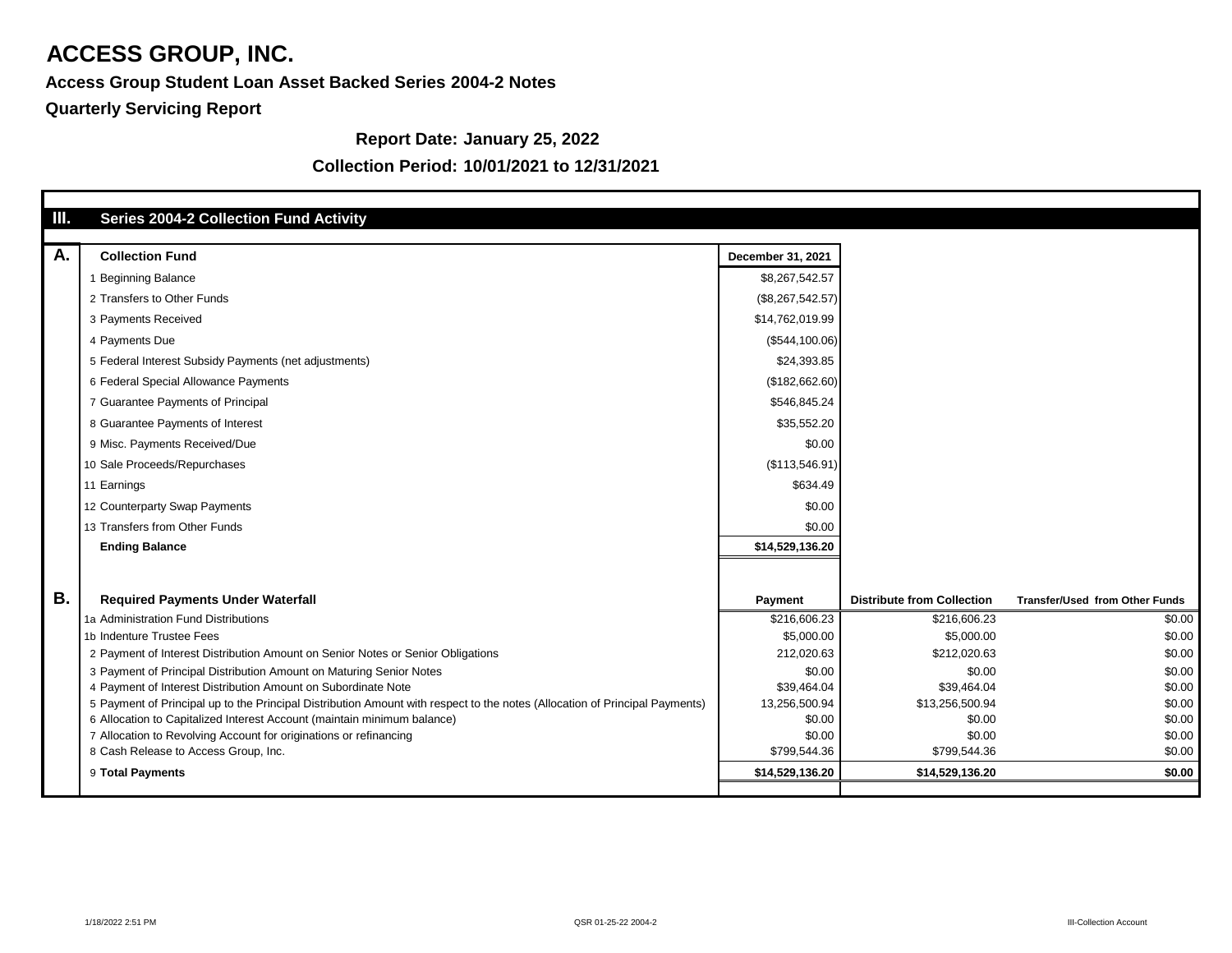**Access Group Student Loan Asset Backed Series 2004-2 Notes**

**Report Date: January 25, 2022**

### **Collection Period: 10/01/2021 to 12/31/2021**

| П.        |                                                                                                                             |                          |                                   |                                       |
|-----------|-----------------------------------------------------------------------------------------------------------------------------|--------------------------|-----------------------------------|---------------------------------------|
|           | <b>Series 2004-2 Collection Fund Activity</b>                                                                               |                          |                                   |                                       |
| A.        | <b>Collection Fund</b>                                                                                                      | <b>December 31, 2021</b> |                                   |                                       |
|           | <b>Beginning Balance</b>                                                                                                    | \$8,267,542.57           |                                   |                                       |
|           | 2 Transfers to Other Funds                                                                                                  | (\$8,267,542.57)         |                                   |                                       |
|           | 3 Payments Received                                                                                                         | \$14,762,019.99          |                                   |                                       |
|           | 4 Payments Due                                                                                                              | (\$544,100.06)           |                                   |                                       |
|           | 5 Federal Interest Subsidy Payments (net adjustments)                                                                       | \$24,393.85              |                                   |                                       |
|           | 6 Federal Special Allowance Payments                                                                                        | (\$182,662.60)           |                                   |                                       |
|           | 7 Guarantee Payments of Principal                                                                                           | \$546,845.24             |                                   |                                       |
|           | 8 Guarantee Payments of Interest                                                                                            | \$35,552.20              |                                   |                                       |
|           | 9 Misc. Payments Received/Due                                                                                               | \$0.00                   |                                   |                                       |
|           | 10 Sale Proceeds/Repurchases                                                                                                | (\$113,546.91)           |                                   |                                       |
|           | 11 Earnings                                                                                                                 | \$634.49                 |                                   |                                       |
|           | 12 Counterparty Swap Payments                                                                                               | \$0.00                   |                                   |                                       |
|           | 13 Transfers from Other Funds                                                                                               | \$0.00                   |                                   |                                       |
|           | <b>Ending Balance</b>                                                                                                       | \$14,529,136.20          |                                   |                                       |
|           |                                                                                                                             |                          |                                   |                                       |
| <b>B.</b> | <b>Required Payments Under Waterfall</b>                                                                                    | <b>Payment</b>           | <b>Distribute from Collection</b> | <b>Transfer/Used from Other Funds</b> |
|           | 1a Administration Fund Distributions                                                                                        | \$216,606.23             | \$216,606.23                      | \$0.00                                |
|           | 1b Indenture Trustee Fees                                                                                                   | \$5,000.00               | \$5,000.00                        | \$0.00                                |
|           | 2 Payment of Interest Distribution Amount on Senior Notes or Senior Obligations                                             | 212,020.63               | \$212,020.63                      | \$0.00                                |
|           | 3 Payment of Principal Distribution Amount on Maturing Senior Notes                                                         | \$0.00                   | \$0.00                            | \$0.00                                |
|           | 4 Payment of Interest Distribution Amount on Subordinate Note                                                               | \$39,464.04              | \$39,464.04                       | \$0.00                                |
|           | 5 Payment of Principal up to the Principal Distribution Amount with respect to the notes (Allocation of Principal Payments) | 13,256,500.94            | \$13,256,500.94                   | \$0.00                                |
|           | 6 Allocation to Capitalized Interest Account (maintain minimum balance)                                                     | \$0.00                   | \$0.00                            | \$0.00                                |
|           | 7 Allocation to Revolving Account for originations or refinancing                                                           | \$0.00                   | \$0.00                            | \$0.00                                |
|           | 8 Cash Release to Access Group, Inc.                                                                                        | \$799,544.36             | \$799,544.36                      | \$0.00                                |
|           | 9 Total Payments                                                                                                            | \$14,529,136.20          | \$14,529,136.20                   | \$0.00                                |
|           |                                                                                                                             |                          |                                   |                                       |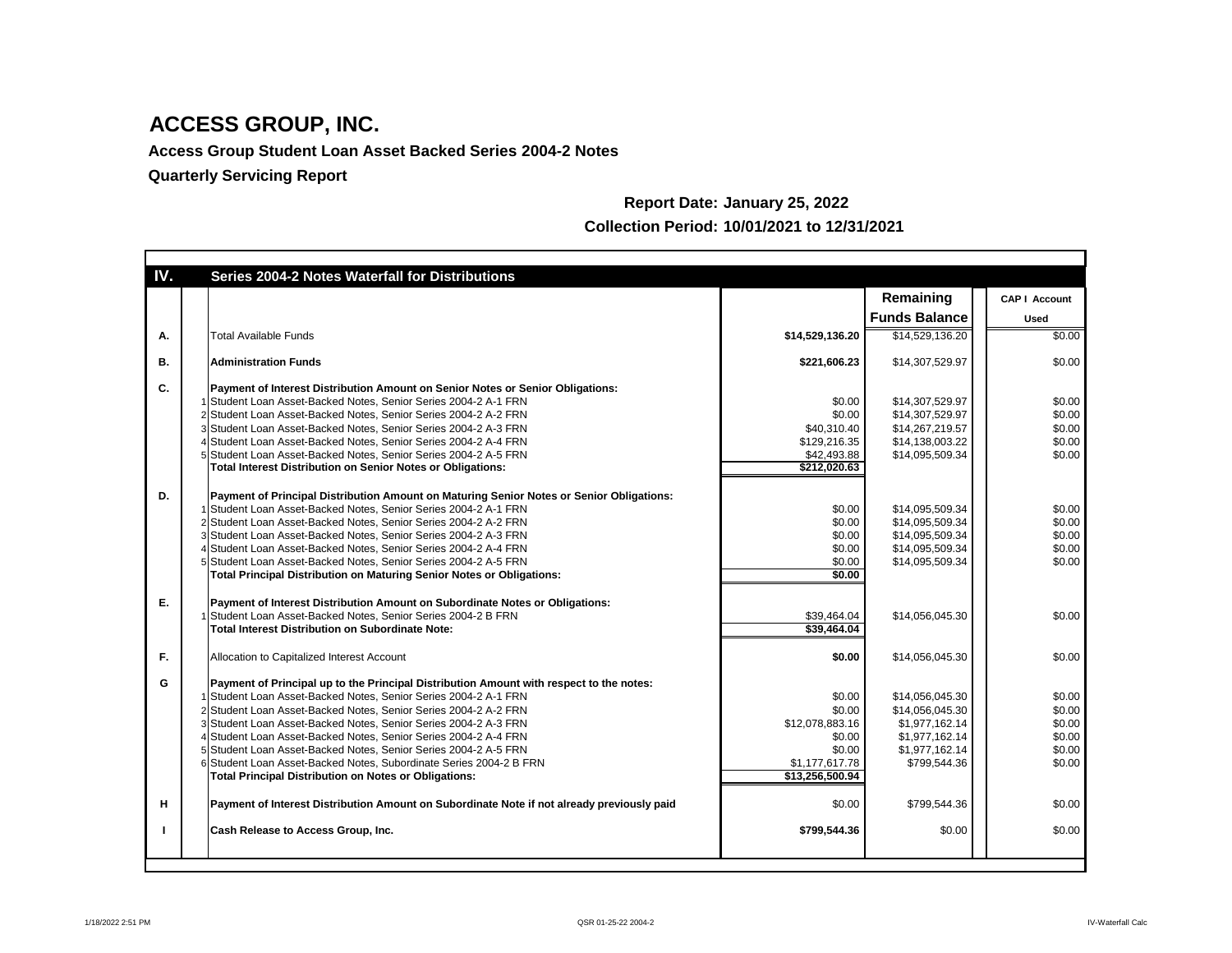**Access Group Student Loan Asset Backed Series 2004-2 Notes**

| IV.       | <b>Series 2004-2 Notes Waterfall for Distributions</b>                                                                                                                                                                                                                                                                                                                                                                                                                                                                                                                                                                                                                     |                                                                                                        |                                                                                                                          |                                                                    |
|-----------|----------------------------------------------------------------------------------------------------------------------------------------------------------------------------------------------------------------------------------------------------------------------------------------------------------------------------------------------------------------------------------------------------------------------------------------------------------------------------------------------------------------------------------------------------------------------------------------------------------------------------------------------------------------------------|--------------------------------------------------------------------------------------------------------|--------------------------------------------------------------------------------------------------------------------------|--------------------------------------------------------------------|
|           |                                                                                                                                                                                                                                                                                                                                                                                                                                                                                                                                                                                                                                                                            |                                                                                                        | Remaining                                                                                                                | <b>CAP   Account</b>                                               |
|           |                                                                                                                                                                                                                                                                                                                                                                                                                                                                                                                                                                                                                                                                            |                                                                                                        | <b>Funds Balance</b>                                                                                                     | <b>Used</b>                                                        |
| A.        | <b>Total Available Funds</b>                                                                                                                                                                                                                                                                                                                                                                                                                                                                                                                                                                                                                                               | \$14,529,136.20                                                                                        | \$14,529,136.20                                                                                                          | \$0.00                                                             |
| <b>B.</b> | <b>Administration Funds</b>                                                                                                                                                                                                                                                                                                                                                                                                                                                                                                                                                                                                                                                | \$221,606.23                                                                                           | \$14,307,529.97                                                                                                          | \$0.00                                                             |
| C.        | Payment of Interest Distribution Amount on Senior Notes or Senior Obligations:<br>1 Student Loan Asset-Backed Notes, Senior Series 2004-2 A-1 FRN<br>2 Student Loan Asset-Backed Notes, Senior Series 2004-2 A-2 FRN<br>3 Student Loan Asset-Backed Notes, Senior Series 2004-2 A-3 FRN<br>4 Student Loan Asset-Backed Notes, Senior Series 2004-2 A-4 FRN<br>5 Student Loan Asset-Backed Notes, Senior Series 2004-2 A-5 FRN                                                                                                                                                                                                                                              | \$0.00<br>\$0.00<br>\$40,310.40<br>\$129,216.35<br>\$42,493.88                                         | \$14,307,529.97<br>\$14,307,529.97<br>\$14,267,219.57<br>\$14,138,003.22<br>\$14,095,509.34                              | \$0.00<br>\$0.00<br>\$0.00<br>\$0.00<br>\$0.00                     |
| D.        | <b>Total Interest Distribution on Senior Notes or Obligations:</b><br>Payment of Principal Distribution Amount on Maturing Senior Notes or Senior Obligations:<br>1 Student Loan Asset-Backed Notes, Senior Series 2004-2 A-1 FRN<br>2 Student Loan Asset-Backed Notes, Senior Series 2004-2 A-2 FRN<br>3 Student Loan Asset-Backed Notes, Senior Series 2004-2 A-3 FRN<br>4 Student Loan Asset-Backed Notes, Senior Series 2004-2 A-4 FRN<br>5 Student Loan Asset-Backed Notes, Senior Series 2004-2 A-5 FRN<br><b>Total Principal Distribution on Maturing Senior Notes or Obligations:</b>                                                                              | \$212,020.63<br>\$0.00<br>\$0.00<br>\$0.00<br>\$0.00<br>\$0.00<br>\$0.00                               | \$14,095,509.34<br>\$14,095,509.34<br>\$14,095,509.34<br>\$14,095,509.34<br>\$14,095,509.34                              | \$0.00<br>\$0.00<br>\$0.00<br>\$0.00<br>\$0.00                     |
| Ε.        | Payment of Interest Distribution Amount on Subordinate Notes or Obligations:<br>1 Student Loan Asset-Backed Notes, Senior Series 2004-2 B FRN<br><b>Total Interest Distribution on Subordinate Note:</b>                                                                                                                                                                                                                                                                                                                                                                                                                                                                   | \$39,464.04<br>$\sqrt{339,464.04}$                                                                     | \$14,056,045.30                                                                                                          | \$0.00                                                             |
| F.        | Allocation to Capitalized Interest Account                                                                                                                                                                                                                                                                                                                                                                                                                                                                                                                                                                                                                                 | \$0.00                                                                                                 | \$14,056,045.30                                                                                                          | \$0.00                                                             |
| G<br>H    | Payment of Principal up to the Principal Distribution Amount with respect to the notes:<br>1 Student Loan Asset-Backed Notes, Senior Series 2004-2 A-1 FRN<br>2 Student Loan Asset-Backed Notes, Senior Series 2004-2 A-2 FRN<br>3 Student Loan Asset-Backed Notes, Senior Series 2004-2 A-3 FRN<br>4 Student Loan Asset-Backed Notes, Senior Series 2004-2 A-4 FRN<br>5 Student Loan Asset-Backed Notes, Senior Series 2004-2 A-5 FRN<br>6 Student Loan Asset-Backed Notes, Subordinate Series 2004-2 B FRN<br><b>Total Principal Distribution on Notes or Obligations:</b><br>Payment of Interest Distribution Amount on Subordinate Note if not already previously paid | \$0.00<br>\$0.00<br>\$12,078,883.16<br>\$0.00<br>\$0.00<br>\$1,177,617.78<br>\$13,256,500.94<br>\$0.00 | \$14,056,045.30<br>\$14,056,045.30<br>\$1,977,162.14<br>\$1,977,162.14<br>\$1,977,162.14<br>\$799,544.36<br>\$799,544.36 | \$0.00<br>\$0.00<br>\$0.00<br>\$0.00<br>\$0.00<br>\$0.00<br>\$0.00 |
|           | <b>Cash Release to Access Group, Inc.</b>                                                                                                                                                                                                                                                                                                                                                                                                                                                                                                                                                                                                                                  | \$799,544.36                                                                                           | \$0.00                                                                                                                   | \$0.00                                                             |
|           |                                                                                                                                                                                                                                                                                                                                                                                                                                                                                                                                                                                                                                                                            |                                                                                                        |                                                                                                                          |                                                                    |

## **Report Date: January 25, 2022 Collection Period: 10/01/2021 to 12/31/2021**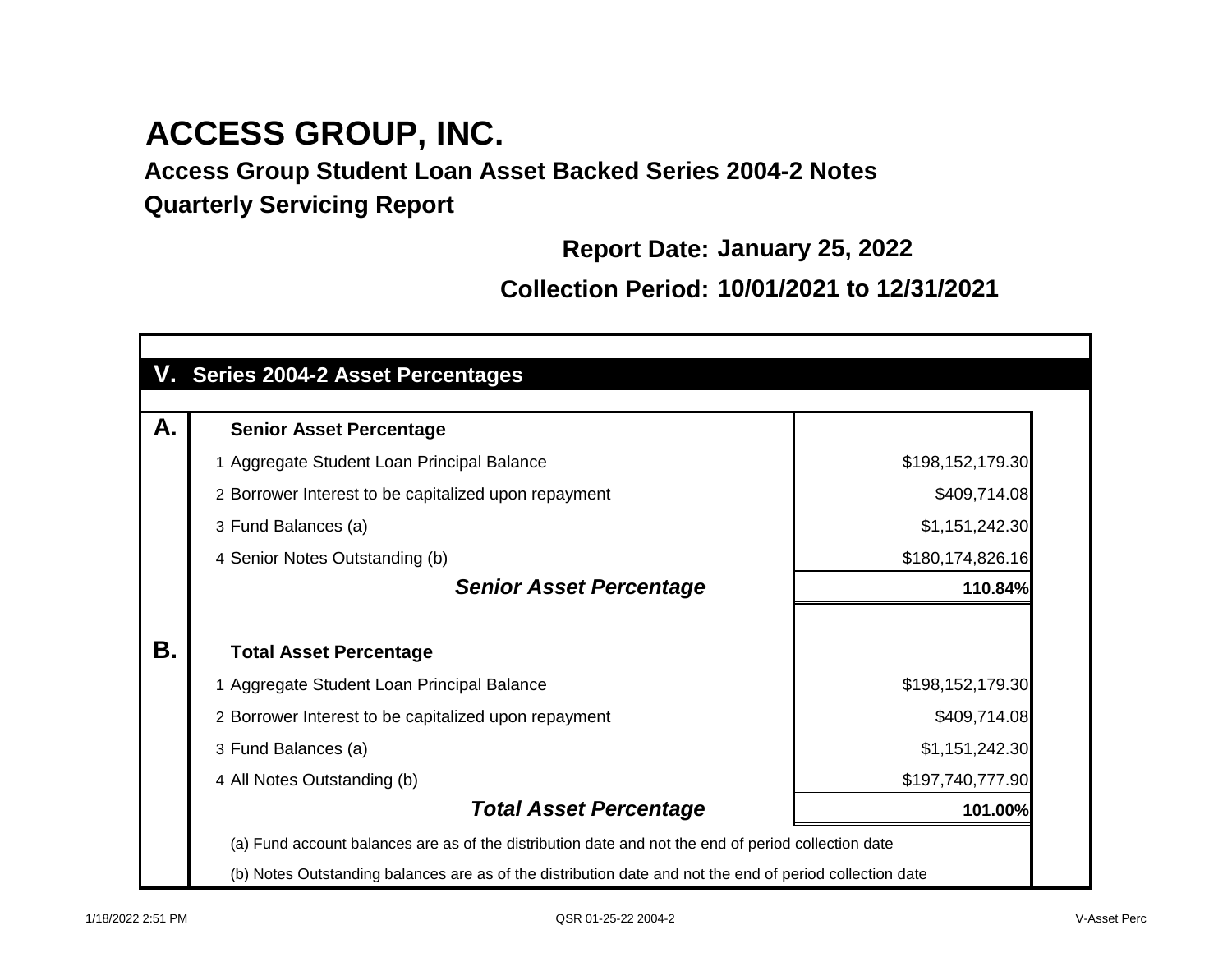**Access Group Student Loan Asset Backed Series 2004-2 Notes Quarterly Servicing Report**

**Report Date: January 25, 2022**

**Collection Period: 10/01/2021 to 12/31/2021**

|    | V. Series 2004-2 Asset Percentages                                                                       |                  |
|----|----------------------------------------------------------------------------------------------------------|------------------|
| А. | <b>Senior Asset Percentage</b>                                                                           |                  |
|    | 1 Aggregate Student Loan Principal Balance                                                               | \$198,152,179.30 |
|    | 2 Borrower Interest to be capitalized upon repayment                                                     | \$409,714.08     |
|    | 3 Fund Balances (a)                                                                                      | \$1,151,242.30   |
|    | 4 Senior Notes Outstanding (b)                                                                           | \$180,174,826.16 |
|    | <b>Senior Asset Percentage</b>                                                                           | 110.84%          |
| Β. | <b>Total Asset Percentage</b>                                                                            |                  |
|    | 1 Aggregate Student Loan Principal Balance                                                               | \$198,152,179.30 |
|    | 2 Borrower Interest to be capitalized upon repayment                                                     | \$409,714.08     |
|    | 3 Fund Balances (a)                                                                                      | \$1,151,242.30   |
|    | 4 All Notes Outstanding (b)                                                                              | \$197,740,777.90 |
|    | <b>Total Asset Percentage</b>                                                                            | 101.00%          |
|    | (a) Fund account balances are as of the distribution date and not the end of period collection date      |                  |
|    | (b) Notes Outstanding balances are as of the distribution date and not the end of period collection date |                  |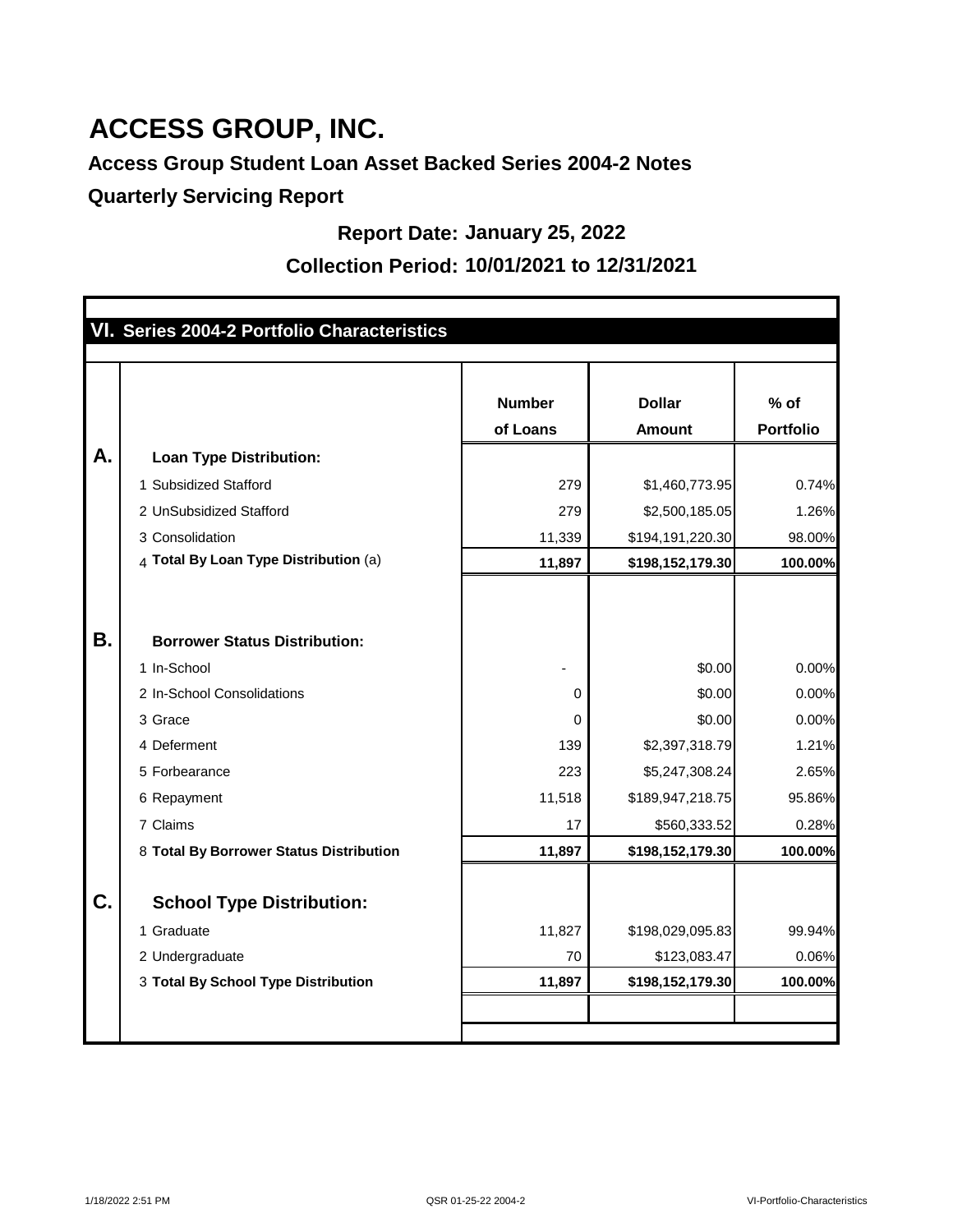## **Access Group Student Loan Asset Backed Series 2004-2 Notes**

**Quarterly Servicing Report**

#### **Report Date: January 25, 2022**

#### **Collection Period: 10/01/2021 to 12/31/2021**

|    | VI. Series 2004-2 Portfolio Characteristics |               |                  |                  |
|----|---------------------------------------------|---------------|------------------|------------------|
|    |                                             |               |                  |                  |
|    |                                             | <b>Number</b> | <b>Dollar</b>    | $%$ of           |
|    |                                             | of Loans      | <b>Amount</b>    | <b>Portfolio</b> |
| А. | <b>Loan Type Distribution:</b>              |               |                  |                  |
|    | 1 Subsidized Stafford                       | 279           | \$1,460,773.95   | 0.74%            |
|    | 2 UnSubsidized Stafford                     | 279           | \$2,500,185.05   | 1.26%            |
|    | 3 Consolidation                             | 11,339        | \$194,191,220.30 | 98.00%           |
|    | 4 Total By Loan Type Distribution (a)       | 11,897        | \$198,152,179.30 | 100.00%          |
|    |                                             |               |                  |                  |
|    |                                             |               |                  |                  |
| Β. | <b>Borrower Status Distribution:</b>        |               |                  |                  |
|    | 1 In-School                                 |               | \$0.00           | 0.00%            |
|    | 2 In-School Consolidations                  | 0             | \$0.00           | 0.00%            |
|    | 3 Grace                                     | 0             | \$0.00           | 0.00%            |
|    | 4 Deferment                                 | 139           | \$2,397,318.79   | 1.21%            |
|    | 5 Forbearance                               | 223           | \$5,247,308.24   | 2.65%            |
|    | 6 Repayment                                 | 11,518        | \$189,947,218.75 | 95.86%           |
|    | 7 Claims                                    | 17            | \$560,333.52     | 0.28%            |
|    | 8 Total By Borrower Status Distribution     | 11,897        | \$198,152,179.30 | 100.00%          |
|    |                                             |               |                  |                  |
| C. | <b>School Type Distribution:</b>            |               |                  |                  |
|    | 1 Graduate                                  | 11,827        | \$198,029,095.83 | 99.94%           |
|    | 2 Undergraduate                             | 70            | \$123,083.47     | 0.06%            |
|    | 3 Total By School Type Distribution         | 11,897        | \$198,152,179.30 | 100.00%          |
|    |                                             |               |                  |                  |
|    |                                             |               |                  |                  |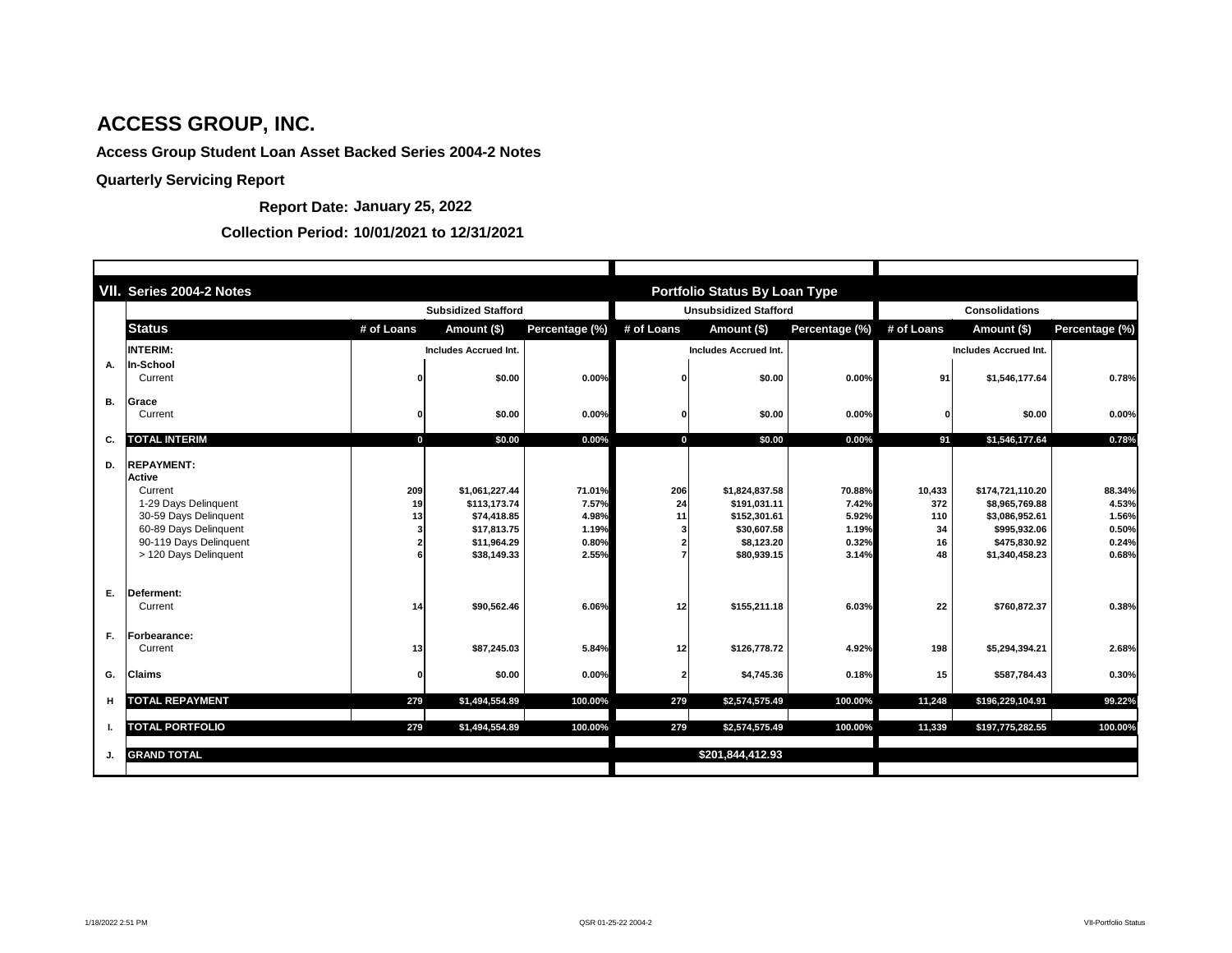|           | VII. Series 2004-2 Notes                                                                                                                                                   |                 |                                                                                            |                                                     |                 | <b>Portfolio Status By Loan Type</b>                                                       |                                                     |                                        |                                                                                                        |                                                     |  |
|-----------|----------------------------------------------------------------------------------------------------------------------------------------------------------------------------|-----------------|--------------------------------------------------------------------------------------------|-----------------------------------------------------|-----------------|--------------------------------------------------------------------------------------------|-----------------------------------------------------|----------------------------------------|--------------------------------------------------------------------------------------------------------|-----------------------------------------------------|--|
|           | <b>Subsidized Stafford</b>                                                                                                                                                 |                 |                                                                                            |                                                     |                 | <b>Unsubsidized Stafford</b>                                                               |                                                     |                                        | <b>Consolidations</b>                                                                                  |                                                     |  |
|           | <b>Status</b>                                                                                                                                                              | # of Loans      | Amount (\$)                                                                                | Percentage (%)                                      | # of Loans      | Amount (\$)                                                                                | Percentage (%)                                      | # of Loans                             | Amount (\$)                                                                                            | Percentage (%)                                      |  |
|           | <b>INTERIM:</b>                                                                                                                                                            |                 | <b>Includes Accrued Int.</b>                                                               |                                                     |                 | <b>Includes Accrued Int.</b>                                                               |                                                     |                                        | <b>Includes Accrued Int.</b>                                                                           |                                                     |  |
| А.        | In-School<br>Current                                                                                                                                                       |                 | \$0.00                                                                                     | 0.00%                                               | n               | \$0.00                                                                                     | 0.00%                                               | 91                                     | \$1,546,177.64                                                                                         | 0.78%                                               |  |
| <b>B.</b> | Grace<br>Current                                                                                                                                                           |                 | \$0.00                                                                                     | 0.00%                                               |                 | \$0.00                                                                                     | 0.00%                                               |                                        | \$0.00                                                                                                 | 0.00%                                               |  |
| C.        | <b>TOTAL INTERIM</b>                                                                                                                                                       | $\mathbf 0$     | \$0.00                                                                                     | 0.00%                                               | $\bf{0}$        | \$0.00                                                                                     | 0.00%                                               | 91                                     | \$1,546,177.64                                                                                         | 0.78%                                               |  |
| D.        | <b>REPAYMENT:</b><br><b>Active</b><br>Current<br>1-29 Days Delinquent<br>30-59 Days Delinquent<br>60-89 Days Delinquent<br>90-119 Days Delinquent<br>> 120 Days Delinquent | 209<br>19<br>13 | \$1,061,227.44<br>\$113,173.74<br>\$74,418.85<br>\$17,813.75<br>\$11,964.29<br>\$38,149.33 | 71.01%<br>7.57%<br>4.98%<br>1.19%<br>0.80%<br>2.55% | 206<br>24<br>11 | \$1,824,837.58<br>\$191,031.11<br>\$152,301.61<br>\$30,607.58<br>\$8,123.20<br>\$80,939.15 | 70.88%<br>7.42%<br>5.92%<br>1.19%<br>0.32%<br>3.14% | 10,433<br>372<br>110<br>34<br>16<br>48 | \$174,721,110.20<br>\$8,965,769.88<br>\$3,086,952.61<br>\$995,932.06<br>\$475,830.92<br>\$1,340,458.23 | 88.34%<br>4.53%<br>1.56%<br>0.50%<br>0.24%<br>0.68% |  |
| Ε.        | Deferment:<br>Current                                                                                                                                                      | 14              | \$90,562.46                                                                                | 6.06%                                               | 12              | \$155,211.18                                                                               | 6.03%                                               | 22                                     | \$760,872.37                                                                                           | 0.38%                                               |  |
| F.        | <b>Forbearance:</b><br>Current                                                                                                                                             | 13              | \$87,245.03                                                                                | 5.84%                                               | 12              | \$126,778.72                                                                               | 4.92%                                               | 198                                    | \$5,294,394.21                                                                                         | 2.68%                                               |  |
| G.        | <b>Claims</b>                                                                                                                                                              | O               | \$0.00                                                                                     | 0.00%                                               | 2               | \$4,745.36                                                                                 | 0.18%                                               | 15                                     | \$587,784.43                                                                                           | 0.30%                                               |  |
| н         | <b>TOTAL REPAYMENT</b>                                                                                                                                                     | 279             | \$1,494,554.89                                                                             | 100.00%                                             | 279             | \$2,574,575.49                                                                             | 100.00%                                             | 11,248                                 | \$196,229,104.91                                                                                       | 99.22%                                              |  |
|           | <b>TOTAL PORTFOLIO</b>                                                                                                                                                     | 279             | \$1,494,554.89                                                                             | 100.00%                                             | 279             | \$2,574,575.49                                                                             | 100.00%                                             | 11,339                                 | \$197,775,282.55                                                                                       | 100.00%                                             |  |
| J.        | <b>GRAND TOTAL</b>                                                                                                                                                         |                 |                                                                                            |                                                     |                 | \$201,844,412.93                                                                           |                                                     |                                        |                                                                                                        |                                                     |  |

**Report Date: January 25, 2022**

#### **Collection Period: 10/01/2021 to 12/31/2021**

# **ACCESS GROUP, INC.**

**Access Group Student Loan Asset Backed Series 2004-2 Notes**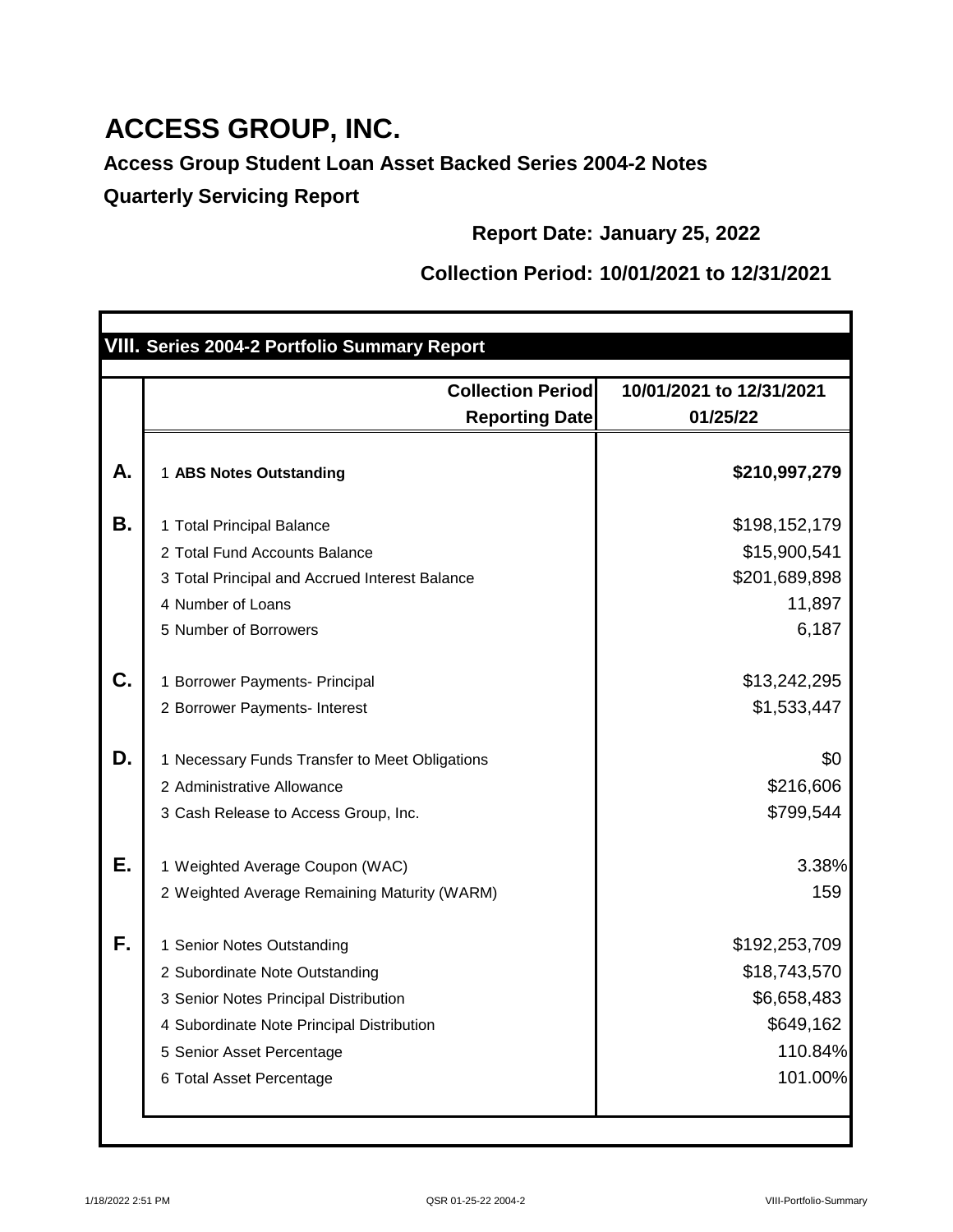**Access Group Student Loan Asset Backed Series 2004-2 Notes Quarterly Servicing Report**

**Report Date: January 25, 2022**

## **Collection Period: 10/01/2021 to 12/31/2021**

|    | VIII. Series 2004-2 Portfolio Summary Report                                                                                                                                                                     |                                                                                 |
|----|------------------------------------------------------------------------------------------------------------------------------------------------------------------------------------------------------------------|---------------------------------------------------------------------------------|
|    |                                                                                                                                                                                                                  |                                                                                 |
|    | <b>Collection Period</b><br><b>Reporting Date</b>                                                                                                                                                                | 10/01/2021 to 12/31/2021<br>01/25/22                                            |
| А. | 1 ABS Notes Outstanding                                                                                                                                                                                          | \$210,997,279                                                                   |
| Β. | 1 Total Principal Balance<br>2 Total Fund Accounts Balance<br>3 Total Principal and Accrued Interest Balance<br>4 Number of Loans<br>5 Number of Borrowers                                                       | \$198,152,179<br>\$15,900,541<br>\$201,689,898<br>11,897<br>6,187               |
| C. | 1 Borrower Payments- Principal<br>2 Borrower Payments- Interest                                                                                                                                                  | \$13,242,295<br>\$1,533,447                                                     |
| D. | 1 Necessary Funds Transfer to Meet Obligations<br>2 Administrative Allowance<br>3 Cash Release to Access Group, Inc.                                                                                             | \$0<br>\$216,606<br>\$799,544                                                   |
| Е. | 1 Weighted Average Coupon (WAC)<br>2 Weighted Average Remaining Maturity (WARM)                                                                                                                                  | 3.38%<br>159                                                                    |
| F. | <b>Senior Notes Outstanding</b><br>2 Subordinate Note Outstanding<br>3 Senior Notes Principal Distribution<br>4 Subordinate Note Principal Distribution<br>5 Senior Asset Percentage<br>6 Total Asset Percentage | \$192,253,709<br>\$18,743,570<br>\$6,658,483<br>\$649,162<br>110.84%<br>101.00% |